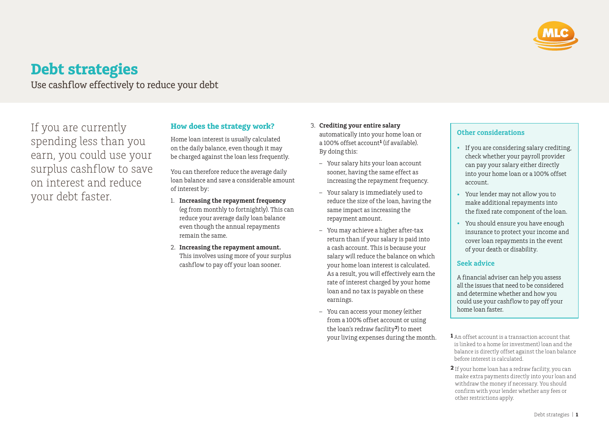

# **Debt strategies**

Use cashflow effectively to reduce your debt

If you are currently spending less than you earn, you could use your surplus cashflow to save on interest and reduce your debt faster.

## **How does the strategy work?**

Home loan interest is usually calculated on the daily balance, even though it may be charged against the loan less frequently.

You can therefore reduce the average daily loan balance and save a considerable amount of interest by:

- 1. **Increasing the repayment frequency** (eg from monthly to fortnightly). This can reduce your average daily loan balance even though the annual repayments remain the same.
- 2. **Increasing the repayment amount.** This involves using more of your surplus cashflow to pay off your loan sooner.
- 3. **Crediting your entire salary** automatically into your home loan or a 100% offset account**<sup>1</sup>** (if available). By doing this:
	- Your salary hits your loan account sooner, having the same effect as increasing the repayment frequency.
	- Your salary is immediately used to reduce the size of the loan, having the same impact as increasing the repayment amount.
	- You may achieve a higher after-tax return than if your salary is paid into a cash account. This is because your salary will reduce the balance on which your home loan interest is calculated. As a result, you will effectively earn the rate of interest charged by your home loan and no tax is payable on these earnings.
	- You can access your money (either from a 100% offset account or using the loan's redraw facility**<sup>2</sup>**) to meet your living expenses during the month.

### **Other considerations**

- If you are considering salary crediting, check whether your payroll provider can pay your salary either directly into your home loan or a 100% offset account.
- Your lender may not allow you to make additional repayments into the fixed rate component of the loan.
- You should ensure you have enough insurance to protect your income and cover loan repayments in the event of your death or disability.

#### **Seek advice**

A financial adviser can help you assess all the issues that need to be considered and determine whether and how you could use your cashflow to pay off your home loan faster.

- **1** An offset account is a transaction account that is linked to a home (or investment) loan and the balance is directly offset against the loan balance before interest is calculated.
- **2** If your home loan has a redraw facility, you can make extra payments directly into your loan and withdraw the money if necessary. You should confirm with your lender whether any fees or other restrictions apply.